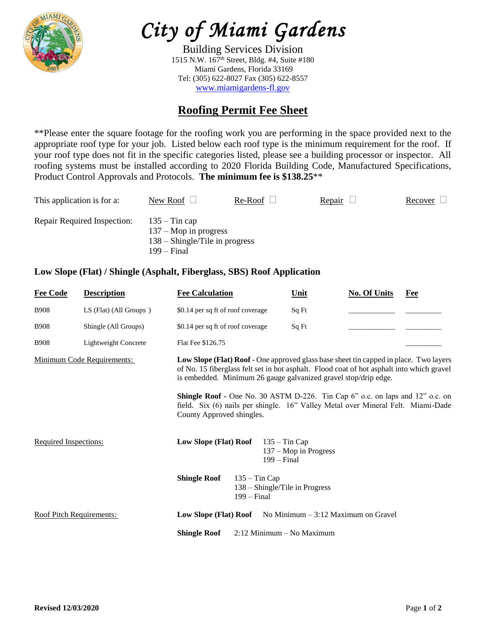

# *City of Miami Gardens*

Building Services Division 1515 N.W. 167th Street, Bldg. #4, Suite #180 Miami Gardens, Florida 33169 Tel: (305) 622-8027 Fax (305) 622-8557 [www.miamigardens-fl.gov](http://www.miamigardens-fl.gov/)

## **Roofing Permit Fee Sheet**

\*\*Please enter the square footage for the roofing work you are performing in the space provided next to the appropriate roof type for your job. Listed below each roof type is the minimum requirement for the roof. If your roof type does not fit in the specific categories listed, please see a building processor or inspector. All roofing systems must be installed according to 2020 Florida Building Code, Manufactured Specifications, Product Control Approvals and Protocols. **The minimum fee is \$138.25**\*\*

| This application is for a:  | New Roof $\perp$                                                                                       | Re-Roof | <b>Repair</b> | Recover |
|-----------------------------|--------------------------------------------------------------------------------------------------------|---------|---------------|---------|
| Repair Required Inspection: | $135 -$ Tin cap<br>$137 - \text{Mop}$ in progress<br>$138 -$ Shingle/Tile in progress<br>$199 - Final$ |         |               |         |

#### **Low Slope (Flat) / Shingle (Asphalt, Fiberglass, SBS) Roof Application**

| <b>Fee Code</b>          | <b>Description</b>         | <b>Fee Calculation</b>                                                                                                                                                                                                                                |                                                                    | Unit                                 | <b>No. Of Units</b> | Fee |  |
|--------------------------|----------------------------|-------------------------------------------------------------------------------------------------------------------------------------------------------------------------------------------------------------------------------------------------------|--------------------------------------------------------------------|--------------------------------------|---------------------|-----|--|
| <b>B908</b>              | LS (Flat) (All Groups)     | \$0.14 per sq ft of roof coverage                                                                                                                                                                                                                     |                                                                    | Sq Ft                                |                     |     |  |
| <b>B908</b>              | Shingle (All Groups)       | \$0.14 per sq ft of roof coverage                                                                                                                                                                                                                     |                                                                    | Sq Ft                                |                     |     |  |
| <b>B908</b>              | Lightweight Concrete       | Flat Fee \$126.75                                                                                                                                                                                                                                     |                                                                    |                                      |                     |     |  |
|                          | Minimum Code Requirements: | Low Slope (Flat) Roof - One approved glass base sheet tin capped in place. Two layers<br>of No. 15 fiberglass felt set in hot asphalt. Flood coat of hot asphalt into which gravel<br>is embedded. Minimum 26 gauge galvanized gravel stop/drip edge. |                                                                    |                                      |                     |     |  |
|                          |                            | Shingle Roof - One No. 30 ASTM D-226. Tin Cap 6" o.c. on laps and 12" o.c. on<br>field. Six (6) nails per shingle. 16" Valley Metal over Mineral Felt. Miami-Dade<br>County Approved shingles.                                                        |                                                                    |                                      |                     |     |  |
| Required Inspections:    |                            | Low Slope (Flat) Roof                                                                                                                                                                                                                                 | $135 - Tin Cap$<br>$199 - Final$                                   | $137 - \text{Mop}$ in Progress       |                     |     |  |
|                          |                            | <b>Shingle Roof</b>                                                                                                                                                                                                                                   | $135 - Tin Cap$<br>138 – Shingle/Tile in Progress<br>$199 - Final$ |                                      |                     |     |  |
| Roof Pitch Requirements: |                            | Low Slope (Flat) Roof                                                                                                                                                                                                                                 |                                                                    | No Minimum $-3:12$ Maximum on Gravel |                     |     |  |
|                          |                            | <b>Shingle Roof</b>                                                                                                                                                                                                                                   | $2:12$ Minimum – No Maximum                                        |                                      |                     |     |  |